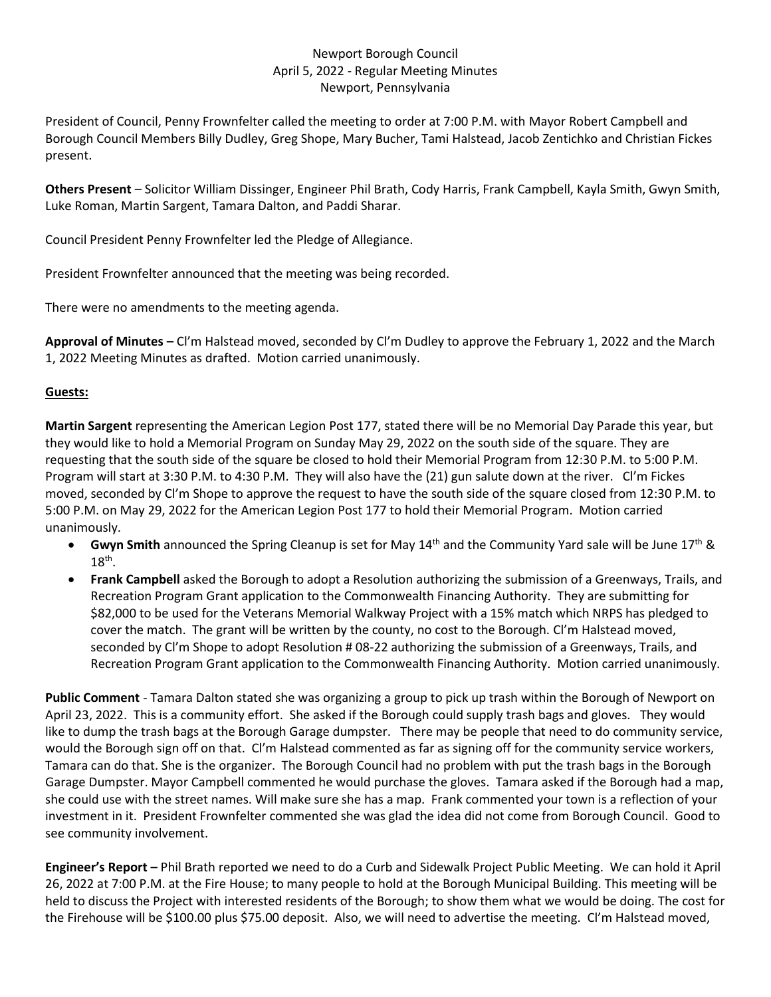## Newport Borough Council April 5, 2022 - Regular Meeting Minutes Newport, Pennsylvania

President of Council, Penny Frownfelter called the meeting to order at 7:00 P.M. with Mayor Robert Campbell and Borough Council Members Billy Dudley, Greg Shope, Mary Bucher, Tami Halstead, Jacob Zentichko and Christian Fickes present.

**Others Present** – Solicitor William Dissinger, Engineer Phil Brath, Cody Harris, Frank Campbell, Kayla Smith, Gwyn Smith, Luke Roman, Martin Sargent, Tamara Dalton, and Paddi Sharar.

Council President Penny Frownfelter led the Pledge of Allegiance.

President Frownfelter announced that the meeting was being recorded.

There were no amendments to the meeting agenda.

**Approval of Minutes –** Cl'm Halstead moved, seconded by Cl'm Dudley to approve the February 1, 2022 and the March 1, 2022 Meeting Minutes as drafted. Motion carried unanimously.

## **Guests:**

**Martin Sargent** representing the American Legion Post 177, stated there will be no Memorial Day Parade this year, but they would like to hold a Memorial Program on Sunday May 29, 2022 on the south side of the square. They are requesting that the south side of the square be closed to hold their Memorial Program from 12:30 P.M. to 5:00 P.M. Program will start at 3:30 P.M. to 4:30 P.M. They will also have the (21) gun salute down at the river. Cl'm Fickes moved, seconded by Cl'm Shope to approve the request to have the south side of the square closed from 12:30 P.M. to 5:00 P.M. on May 29, 2022 for the American Legion Post 177 to hold their Memorial Program. Motion carried unanimously.

- **Gwyn Smith** announced the Spring Cleanup is set for May 14<sup>th</sup> and the Community Yard sale will be June 17<sup>th</sup> &  $18<sup>th</sup>$ .
- **Frank Campbell** asked the Borough to adopt a Resolution authorizing the submission of a Greenways, Trails, and Recreation Program Grant application to the Commonwealth Financing Authority. They are submitting for \$82,000 to be used for the Veterans Memorial Walkway Project with a 15% match which NRPS has pledged to cover the match. The grant will be written by the county, no cost to the Borough. Cl'm Halstead moved, seconded by Cl'm Shope to adopt Resolution # 08-22 authorizing the submission of a Greenways, Trails, and Recreation Program Grant application to the Commonwealth Financing Authority. Motion carried unanimously.

**Public Comment** - Tamara Dalton stated she was organizing a group to pick up trash within the Borough of Newport on April 23, 2022. This is a community effort. She asked if the Borough could supply trash bags and gloves. They would like to dump the trash bags at the Borough Garage dumpster. There may be people that need to do community service, would the Borough sign off on that. CI'm Halstead commented as far as signing off for the community service workers, Tamara can do that. She is the organizer. The Borough Council had no problem with put the trash bags in the Borough Garage Dumpster. Mayor Campbell commented he would purchase the gloves. Tamara asked if the Borough had a map, she could use with the street names. Will make sure she has a map. Frank commented your town is a reflection of your investment in it. President Frownfelter commented she was glad the idea did not come from Borough Council. Good to see community involvement.

**Engineer's Report –** Phil Brath reported we need to do a Curb and Sidewalk Project Public Meeting. We can hold it April 26, 2022 at 7:00 P.M. at the Fire House; to many people to hold at the Borough Municipal Building. This meeting will be held to discuss the Project with interested residents of the Borough; to show them what we would be doing. The cost for the Firehouse will be \$100.00 plus \$75.00 deposit. Also, we will need to advertise the meeting. Cl'm Halstead moved,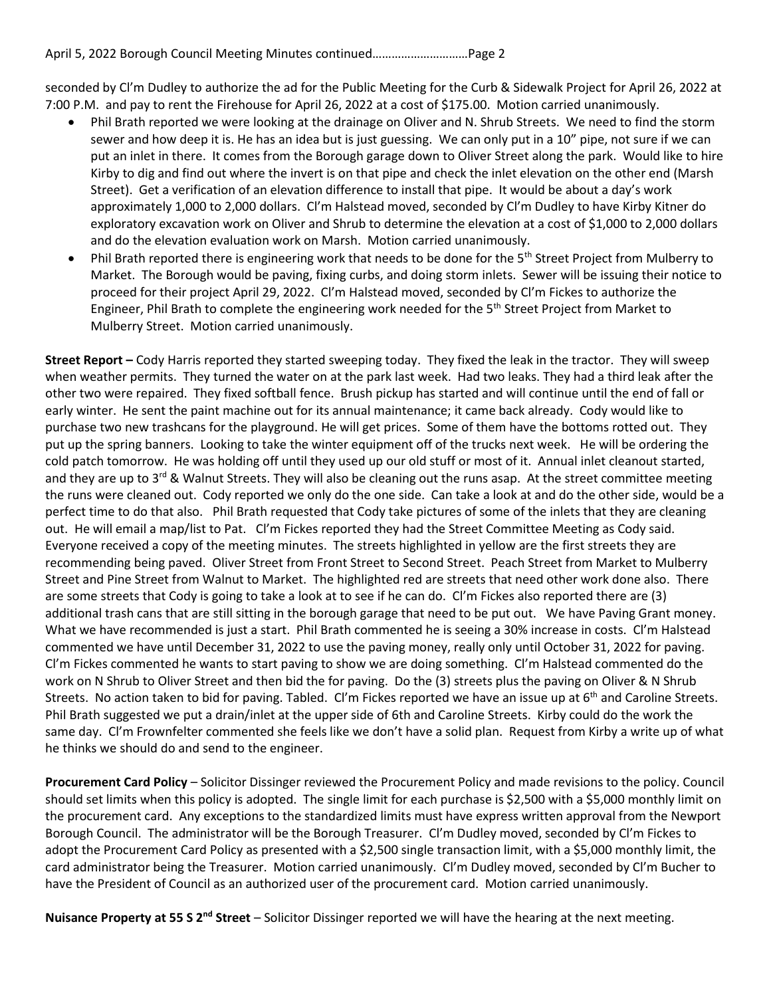seconded by Cl'm Dudley to authorize the ad for the Public Meeting for the Curb & Sidewalk Project for April 26, 2022 at 7:00 P.M. and pay to rent the Firehouse for April 26, 2022 at a cost of \$175.00. Motion carried unanimously.

- Phil Brath reported we were looking at the drainage on Oliver and N. Shrub Streets. We need to find the storm sewer and how deep it is. He has an idea but is just guessing. We can only put in a 10" pipe, not sure if we can put an inlet in there. It comes from the Borough garage down to Oliver Street along the park. Would like to hire Kirby to dig and find out where the invert is on that pipe and check the inlet elevation on the other end (Marsh Street). Get a verification of an elevation difference to install that pipe. It would be about a day's work approximately 1,000 to 2,000 dollars. Cl'm Halstead moved, seconded by Cl'm Dudley to have Kirby Kitner do exploratory excavation work on Oliver and Shrub to determine the elevation at a cost of \$1,000 to 2,000 dollars and do the elevation evaluation work on Marsh. Motion carried unanimously.
- Phil Brath reported there is engineering work that needs to be done for the 5<sup>th</sup> Street Project from Mulberry to Market. The Borough would be paving, fixing curbs, and doing storm inlets. Sewer will be issuing their notice to proceed for their project April 29, 2022. Cl'm Halstead moved, seconded by Cl'm Fickes to authorize the Engineer, Phil Brath to complete the engineering work needed for the 5<sup>th</sup> Street Project from Market to Mulberry Street. Motion carried unanimously.

**Street Report –** Cody Harris reported they started sweeping today. They fixed the leak in the tractor. They will sweep when weather permits. They turned the water on at the park last week. Had two leaks. They had a third leak after the other two were repaired. They fixed softball fence. Brush pickup has started and will continue until the end of fall or early winter. He sent the paint machine out for its annual maintenance; it came back already. Cody would like to purchase two new trashcans for the playground. He will get prices. Some of them have the bottoms rotted out. They put up the spring banners. Looking to take the winter equipment off of the trucks next week. He will be ordering the cold patch tomorrow. He was holding off until they used up our old stuff or most of it. Annual inlet cleanout started, and they are up to 3<sup>rd</sup> & Walnut Streets. They will also be cleaning out the runs asap. At the street committee meeting the runs were cleaned out. Cody reported we only do the one side. Can take a look at and do the other side, would be a perfect time to do that also. Phil Brath requested that Cody take pictures of some of the inlets that they are cleaning out. He will email a map/list to Pat. Cl'm Fickes reported they had the Street Committee Meeting as Cody said. Everyone received a copy of the meeting minutes. The streets highlighted in yellow are the first streets they are recommending being paved. Oliver Street from Front Street to Second Street. Peach Street from Market to Mulberry Street and Pine Street from Walnut to Market. The highlighted red are streets that need other work done also. There are some streets that Cody is going to take a look at to see if he can do. Cl'm Fickes also reported there are (3) additional trash cans that are still sitting in the borough garage that need to be put out. We have Paving Grant money. What we have recommended is just a start. Phil Brath commented he is seeing a 30% increase in costs. Cl'm Halstead commented we have until December 31, 2022 to use the paving money, really only until October 31, 2022 for paving. Cl'm Fickes commented he wants to start paving to show we are doing something. Cl'm Halstead commented do the work on N Shrub to Oliver Street and then bid the for paving. Do the (3) streets plus the paving on Oliver & N Shrub Streets. No action taken to bid for paving. Tabled. Cl'm Fickes reported we have an issue up at 6<sup>th</sup> and Caroline Streets. Phil Brath suggested we put a drain/inlet at the upper side of 6th and Caroline Streets. Kirby could do the work the same day. Cl'm Frownfelter commented she feels like we don't have a solid plan. Request from Kirby a write up of what he thinks we should do and send to the engineer.

**Procurement Card Policy** – Solicitor Dissinger reviewed the Procurement Policy and made revisions to the policy. Council should set limits when this policy is adopted. The single limit for each purchase is \$2,500 with a \$5,000 monthly limit on the procurement card. Any exceptions to the standardized limits must have express written approval from the Newport Borough Council. The administrator will be the Borough Treasurer. Cl'm Dudley moved, seconded by Cl'm Fickes to adopt the Procurement Card Policy as presented with a \$2,500 single transaction limit, with a \$5,000 monthly limit, the card administrator being the Treasurer. Motion carried unanimously. Cl'm Dudley moved, seconded by Cl'm Bucher to have the President of Council as an authorized user of the procurement card. Motion carried unanimously.

**Nuisance Property at 55 S 2nd Street** – Solicitor Dissinger reported we will have the hearing at the next meeting.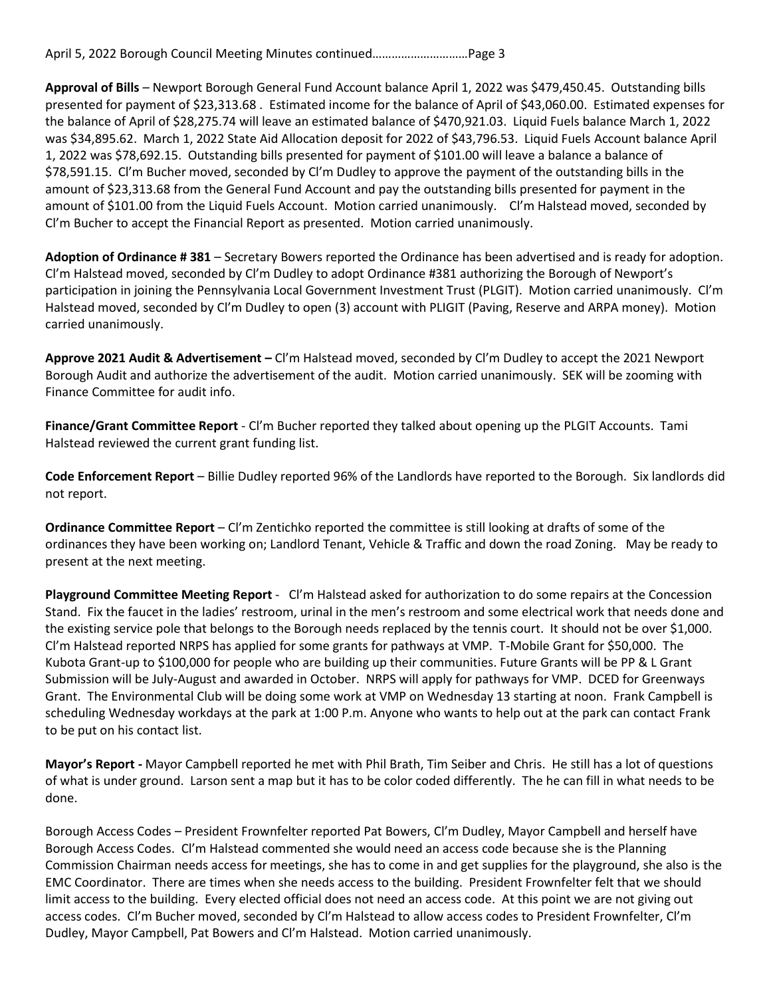**Approval of Bills** – Newport Borough General Fund Account balance April 1, 2022 was \$479,450.45. Outstanding bills presented for payment of \$23,313.68 . Estimated income for the balance of April of \$43,060.00. Estimated expenses for the balance of April of \$28,275.74 will leave an estimated balance of \$470,921.03. Liquid Fuels balance March 1, 2022 was \$34,895.62. March 1, 2022 State Aid Allocation deposit for 2022 of \$43,796.53. Liquid Fuels Account balance April 1, 2022 was \$78,692.15. Outstanding bills presented for payment of \$101.00 will leave a balance a balance of \$78,591.15. Cl'm Bucher moved, seconded by Cl'm Dudley to approve the payment of the outstanding bills in the amount of \$23,313.68 from the General Fund Account and pay the outstanding bills presented for payment in the amount of \$101.00 from the Liquid Fuels Account. Motion carried unanimously. Cl'm Halstead moved, seconded by Cl'm Bucher to accept the Financial Report as presented. Motion carried unanimously.

**Adoption of Ordinance # 381** – Secretary Bowers reported the Ordinance has been advertised and is ready for adoption. Cl'm Halstead moved, seconded by Cl'm Dudley to adopt Ordinance #381 authorizing the Borough of Newport's participation in joining the Pennsylvania Local Government Investment Trust (PLGIT). Motion carried unanimously. Cl'm Halstead moved, seconded by Cl'm Dudley to open (3) account with PLIGIT (Paving, Reserve and ARPA money). Motion carried unanimously.

**Approve 2021 Audit & Advertisement –** Cl'm Halstead moved, seconded by Cl'm Dudley to accept the 2021 Newport Borough Audit and authorize the advertisement of the audit. Motion carried unanimously. SEK will be zooming with Finance Committee for audit info.

**Finance/Grant Committee Report** - Cl'm Bucher reported they talked about opening up the PLGIT Accounts. Tami Halstead reviewed the current grant funding list.

**Code Enforcement Report** – Billie Dudley reported 96% of the Landlords have reported to the Borough. Six landlords did not report.

**Ordinance Committee Report** – Cl'm Zentichko reported the committee is still looking at drafts of some of the ordinances they have been working on; Landlord Tenant, Vehicle & Traffic and down the road Zoning. May be ready to present at the next meeting.

**Playground Committee Meeting Report** - Cl'm Halstead asked for authorization to do some repairs at the Concession Stand. Fix the faucet in the ladies' restroom, urinal in the men's restroom and some electrical work that needs done and the existing service pole that belongs to the Borough needs replaced by the tennis court. It should not be over \$1,000. Cl'm Halstead reported NRPS has applied for some grants for pathways at VMP. T-Mobile Grant for \$50,000. The Kubota Grant-up to \$100,000 for people who are building up their communities. Future Grants will be PP & L Grant Submission will be July-August and awarded in October. NRPS will apply for pathways for VMP. DCED for Greenways Grant. The Environmental Club will be doing some work at VMP on Wednesday 13 starting at noon. Frank Campbell is scheduling Wednesday workdays at the park at 1:00 P.m. Anyone who wants to help out at the park can contact Frank to be put on his contact list.

**Mayor's Report -** Mayor Campbell reported he met with Phil Brath, Tim Seiber and Chris. He still has a lot of questions of what is under ground. Larson sent a map but it has to be color coded differently. The he can fill in what needs to be done.

Borough Access Codes – President Frownfelter reported Pat Bowers, Cl'm Dudley, Mayor Campbell and herself have Borough Access Codes. Cl'm Halstead commented she would need an access code because she is the Planning Commission Chairman needs access for meetings, she has to come in and get supplies for the playground, she also is the EMC Coordinator. There are times when she needs access to the building. President Frownfelter felt that we should limit access to the building. Every elected official does not need an access code. At this point we are not giving out access codes. Cl'm Bucher moved, seconded by Cl'm Halstead to allow access codes to President Frownfelter, Cl'm Dudley, Mayor Campbell, Pat Bowers and Cl'm Halstead. Motion carried unanimously.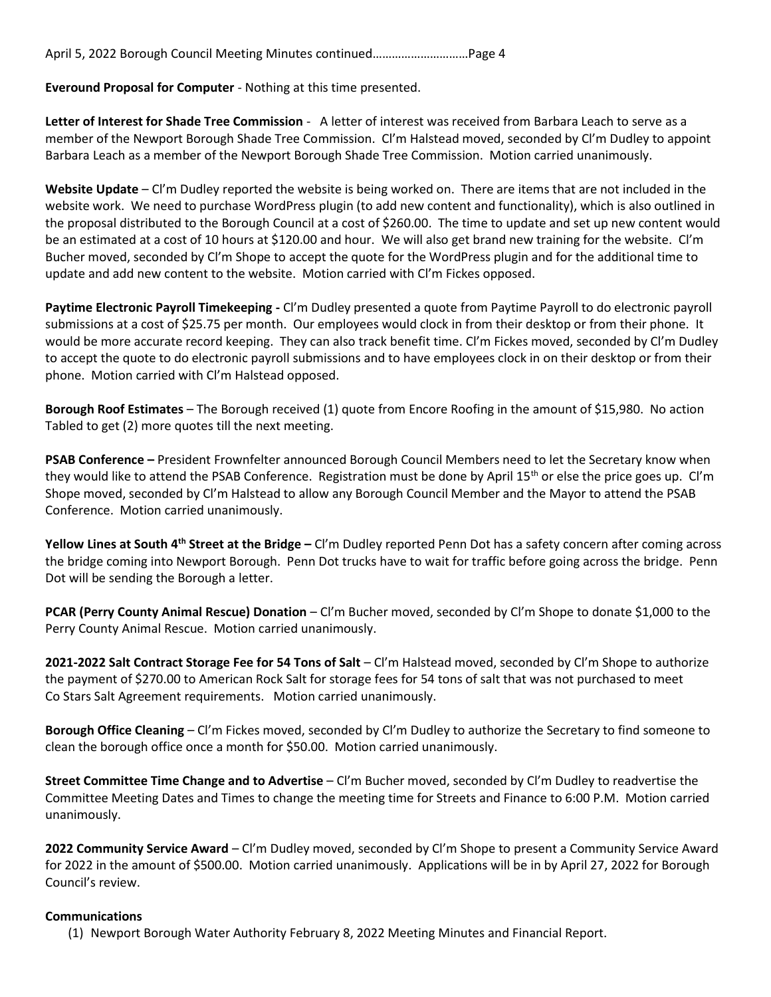April 5, 2022 Borough Council Meeting Minutes continued…………………………Page 4

**Everound Proposal for Computer** - Nothing at this time presented.

**Letter of Interest for Shade Tree Commission** - A letter of interest was received from Barbara Leach to serve as a member of the Newport Borough Shade Tree Commission. Cl'm Halstead moved, seconded by Cl'm Dudley to appoint Barbara Leach as a member of the Newport Borough Shade Tree Commission. Motion carried unanimously.

**Website Update** – Cl'm Dudley reported the website is being worked on. There are items that are not included in the website work. We need to purchase WordPress plugin (to add new content and functionality), which is also outlined in the proposal distributed to the Borough Council at a cost of \$260.00. The time to update and set up new content would be an estimated at a cost of 10 hours at \$120.00 and hour. We will also get brand new training for the website. Cl'm Bucher moved, seconded by Cl'm Shope to accept the quote for the WordPress plugin and for the additional time to update and add new content to the website. Motion carried with Cl'm Fickes opposed.

**Paytime Electronic Payroll Timekeeping -** Cl'm Dudley presented a quote from Paytime Payroll to do electronic payroll submissions at a cost of \$25.75 per month. Our employees would clock in from their desktop or from their phone. It would be more accurate record keeping. They can also track benefit time. Cl'm Fickes moved, seconded by Cl'm Dudley to accept the quote to do electronic payroll submissions and to have employees clock in on their desktop or from their phone. Motion carried with Cl'm Halstead opposed.

**Borough Roof Estimates** – The Borough received (1) quote from Encore Roofing in the amount of \$15,980. No action Tabled to get (2) more quotes till the next meeting.

**PSAB Conference –** President Frownfelter announced Borough Council Members need to let the Secretary know when they would like to attend the PSAB Conference. Registration must be done by April 15<sup>th</sup> or else the price goes up. Cl'm Shope moved, seconded by Cl'm Halstead to allow any Borough Council Member and the Mayor to attend the PSAB Conference. Motion carried unanimously.

**Yellow Lines at South 4th Street at the Bridge –** Cl'm Dudley reported Penn Dot has a safety concern after coming across the bridge coming into Newport Borough. Penn Dot trucks have to wait for traffic before going across the bridge. Penn Dot will be sending the Borough a letter.

**PCAR (Perry County Animal Rescue) Donation** – Cl'm Bucher moved, seconded by Cl'm Shope to donate \$1,000 to the Perry County Animal Rescue. Motion carried unanimously.

**2021-2022 Salt Contract Storage Fee for 54 Tons of Salt** – Cl'm Halstead moved, seconded by Cl'm Shope to authorize the payment of \$270.00 to American Rock Salt for storage fees for 54 tons of salt that was not purchased to meet Co Stars Salt Agreement requirements. Motion carried unanimously.

**Borough Office Cleaning** – Cl'm Fickes moved, seconded by Cl'm Dudley to authorize the Secretary to find someone to clean the borough office once a month for \$50.00. Motion carried unanimously.

**Street Committee Time Change and to Advertise** – Cl'm Bucher moved, seconded by Cl'm Dudley to readvertise the Committee Meeting Dates and Times to change the meeting time for Streets and Finance to 6:00 P.M. Motion carried unanimously.

**2022 Community Service Award** – Cl'm Dudley moved, seconded by Cl'm Shope to present a Community Service Award for 2022 in the amount of \$500.00. Motion carried unanimously. Applications will be in by April 27, 2022 for Borough Council's review.

## **Communications**

(1) Newport Borough Water Authority February 8, 2022 Meeting Minutes and Financial Report.